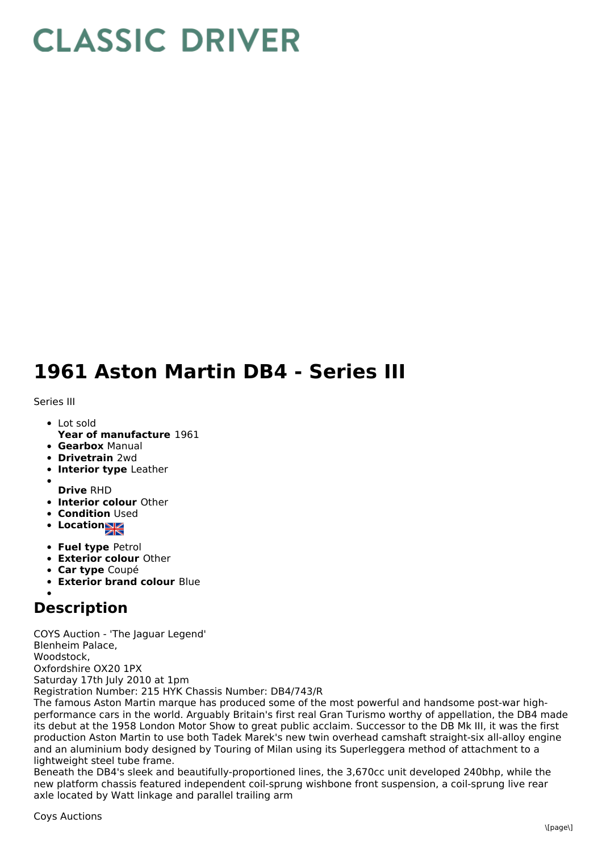## **CLASSIC DRIVER**

## **1961 Aston Martin DB4 - Series III**

Series III

- Lot sold
- **Year of manufacture** 1961
- **Gearbox** Manual
- **Drivetrain** 2wd
- **Interior type** Leather
- **Drive** RHD
- **Interior colour** Other
- **Condition Used**
- **•** Location
- **Fuel type** Petrol
- **Exterior colour** Other
- **Car type** Coupé
- **Exterior brand colour** Blue

## **Description**

COYS Auction - 'The Jaguar Legend' Blenheim Palace, Woodstock, Oxfordshire OX20 1PX Saturday 17th July 2010 at 1pm Registration Number: 215 HYK Chassis Number: DB4/743/R

The famous Aston Martin marque has produced some of the most powerful and handsome post-war highperformance cars in the world. Arguably Britain's first real Gran Turismo worthy of appellation, the DB4 made its debut at the 1958 London Motor Show to great public acclaim. Successor to the DB Mk III, it was the first production Aston Martin to use both Tadek Marek's new twin overhead camshaft straight-six all-alloy engine and an aluminium body designed by Touring of Milan using its Superleggera method of attachment to a lightweight steel tube frame.

Beneath the DB4's sleek and beautifully-proportioned lines, the 3,670cc unit developed 240bhp, while the new platform chassis featured independent coil-sprung wishbone front suspension, a coil-sprung live rear axle located by Watt linkage and parallel trailing arm